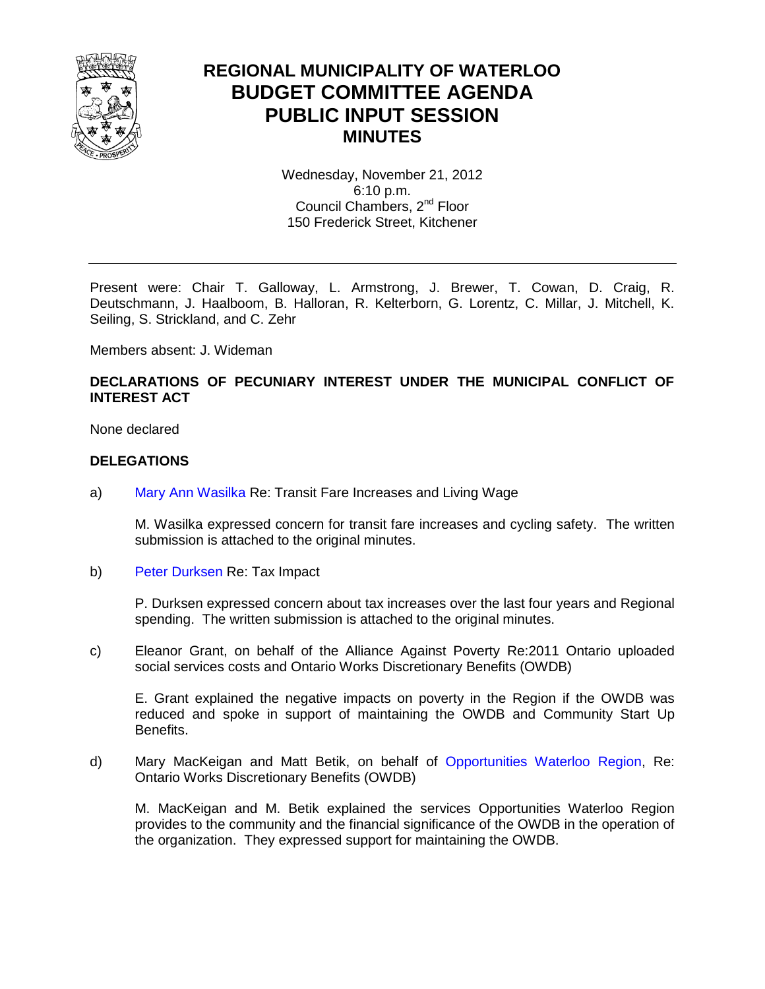

### **REGIONAL MUNICIPALITY OF WATERLOO BUDGET COMMITTEE AGENDA PUBLIC INPUT SESSION MINUTES**

Wednesday, November 21, 2012 6:10 p.m. Council Chambers, 2<sup>nd</sup> Floor 150 Frederick Street, Kitchener

Present were: Chair T. Galloway, L. Armstrong, J. Brewer, T. Cowan, D. Craig, R. Deutschmann, J. Haalboom, B. Halloran, R. Kelterborn, G. Lorentz, C. Millar, J. Mitchell, K. Seiling, S. Strickland, and C. Zehr

Members absent: J. Wideman

#### **DECLARATIONS OF PECUNIARY INTEREST UNDER THE MUNICIPAL CONFLICT OF INTEREST ACT**

None declared

#### **DELEGATIONS**

a) [Mary Ann Wasilka](#page-2-0) Re: Transit Fare Increases and Living Wage

M. Wasilka expressed concern for transit fare increases and cycling safety. The written submission is attached to the original minutes.

b) [Peter Durksen R](#page-4-0)e: Tax Impact

P. Durksen expressed concern about tax increases over the last four years and Regional spending. The written submission is attached to the original minutes.

c) Eleanor Grant, on behalf of the Alliance Against Poverty Re:2011 Ontario uploaded social services costs and Ontario Works Discretionary Benefits (OWDB)

E. Grant explained the negative impacts on poverty in the Region if the OWDB was reduced and spoke in support of maintaining the OWDB and Community Start Up Benefits.

d) Mary MacKeigan and Matt Betik, on behalf of [Opportunities Waterloo Region,](#page-11-0) Re: Ontario Works Discretionary Benefits (OWDB)

M. MacKeigan and M. Betik explained the services Opportunities Waterloo Region provides to the community and the financial significance of the OWDB in the operation of the organization. They expressed support for maintaining the OWDB.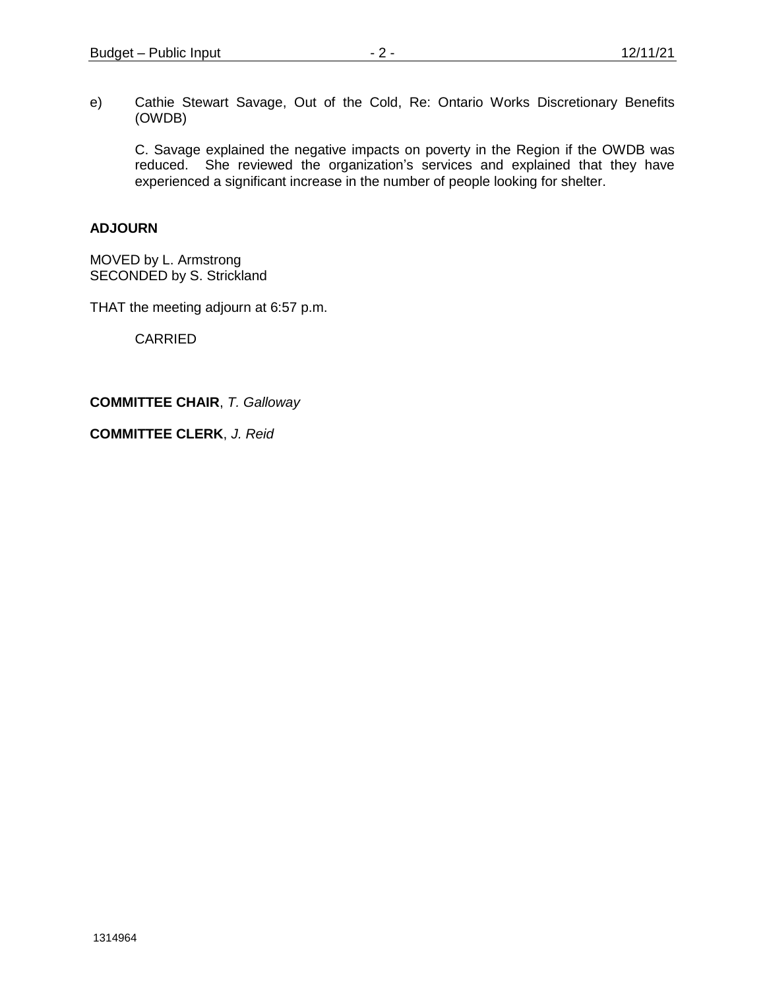e) Cathie Stewart Savage, Out of the Cold, Re: Ontario Works Discretionary Benefits (OWDB)

C. Savage explained the negative impacts on poverty in the Region if the OWDB was reduced. She reviewed the organization's services and explained that they have experienced a significant increase in the number of people looking for shelter.

#### **ADJOURN**

MOVED by L. Armstrong SECONDED by S. Strickland

THAT the meeting adjourn at 6:57 p.m.

CARRIED

**COMMITTEE CHAIR**, *T. Galloway* 

**COMMITTEE CLERK**, *J. Reid*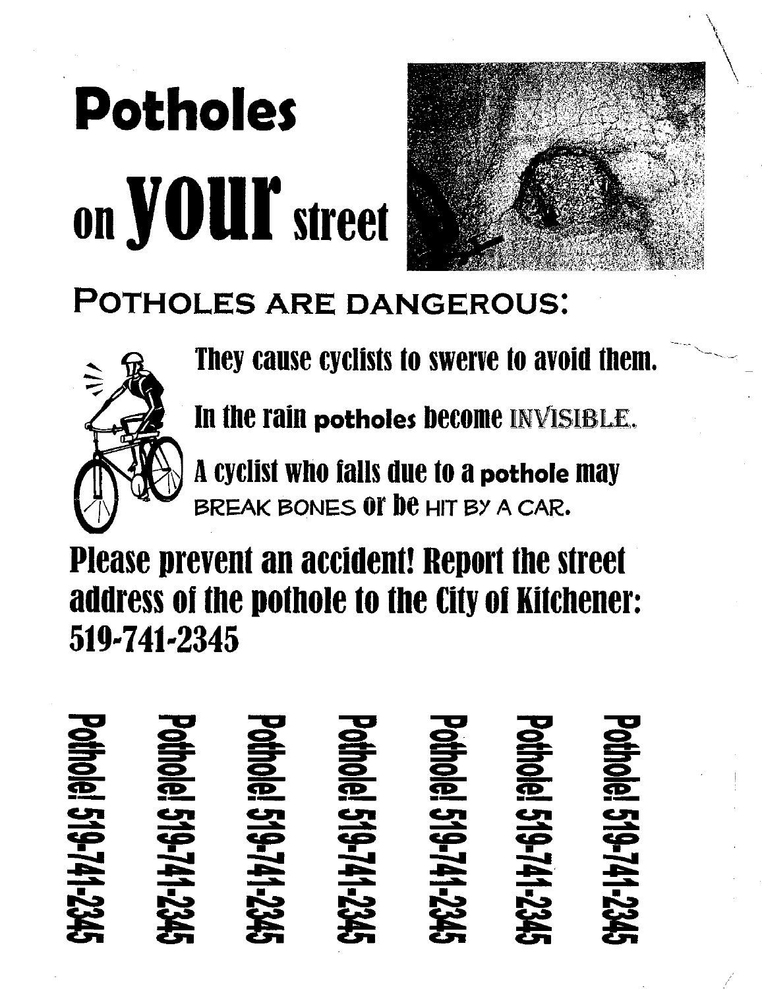# **Potholes** on *your* street



## **POTHOLES ARE DANGEROUS:**



They cause cyclists to swerve to avoid them.

In the rain potholes become INVISIBLE.

A cyclist who falls due to a pothole may BREAK BONES OF DE HIT BY A CAR.

**Please prevent an accident! Report the street** address of the pothole to the City of Kitchener: 519-741-2345

**hole! 519-741-23 Ole! 519-741-Del 519-1 DIG! 519-/41-2. Jel 519-741-1914141 Jel 519-741**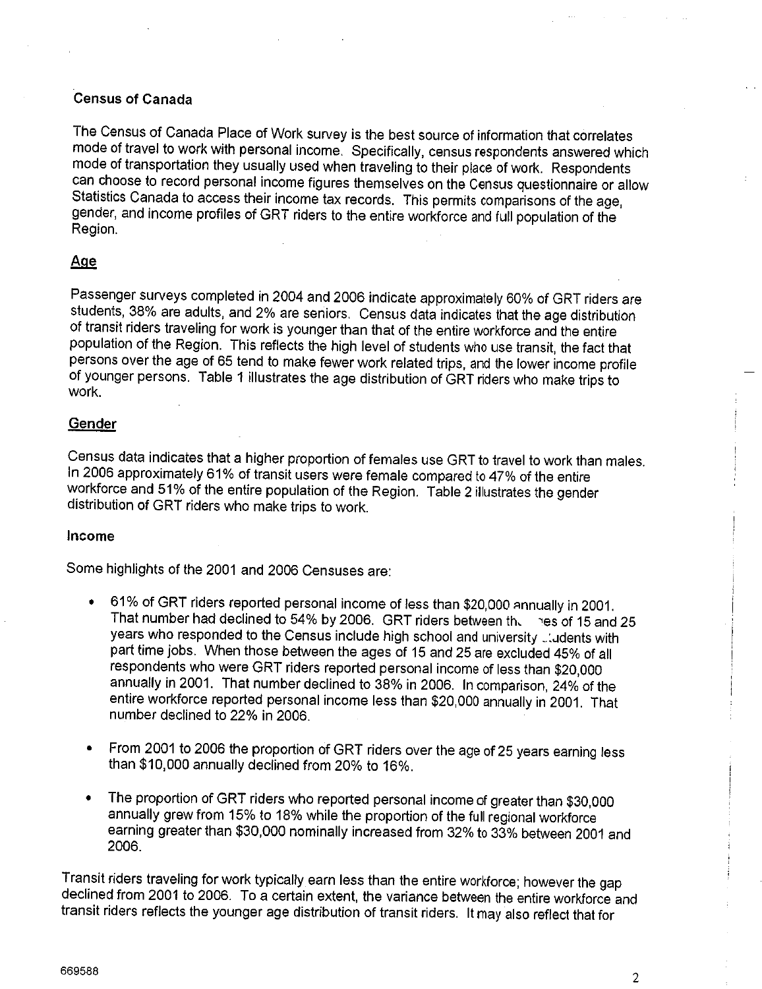#### **Census of Canada**

The Census of Canada Place of Work survey is the best source of information that correlates mode of travel to work with personal income. Specifically, census respondents answered which mode of transportation they usually used when traveling to their place of work. Respondents can choose to record personal income figures themselves on the Census questionnaire or allow Statistics Canada to access their income tax records. This permits comparisons of the age, gender, and income profiles of GRT riders to the entire workforce and full population of the Region.

#### Age

Passenger surveys completed in 2004 and 2006 indicate approximately 60% of GRT riders are students, 38% are adults, and 2% are seniors. Census data indicates that the age distribution of transit riders traveling for work is younger than that of the entire workforce and the entire population of the Region. This reflects the high level of students who use transit, the fact that persons over the age of 65 tend to make fewer work related trips, and the lower income profile of younger persons. Table 1 illustrates the age distribution of GRT riders who make trips to work.

#### Gender

Census data indicates that a higher proportion of females use GRT to travel to work than males. In 2006 approximately 61% of transit users were female compared to 47% of the entire workforce and 51% of the entire population of the Region. Table 2 illustrates the gender distribution of GRT riders who make trips to work.

#### Income

Some highlights of the 2001 and 2006 Censuses are:

- 61% of GRT riders reported personal income of less than \$20,000 annually in 2001.  $\bullet$ That number had declined to 54% by 2006. GRT riders between the res of 15 and 25 years who responded to the Census include high school and university cludents with part time jobs. When those between the ages of 15 and 25 are excluded 45% of all respondents who were GRT riders reported personal income of less than \$20,000 annually in 2001. That number declined to 38% in 2006. In comparison, 24% of the entire workforce reported personal income less than \$20,000 annually in 2001. That number declined to 22% in 2006.
- From 2001 to 2006 the proportion of GRT riders over the age of 25 years earning less  $\bullet$ than \$10,000 annually declined from 20% to 16%.
- The proportion of GRT riders who reported personal income of greater than \$30,000  $\bullet$ annually grew from 15% to 18% while the proportion of the full regional workforce earning greater than \$30,000 nominally increased from 32% to 33% between 2001 and 2006.

Transit riders traveling for work typically earn less than the entire workforce; however the gap declined from 2001 to 2006. To a certain extent, the variance between the entire workforce and transit riders reflects the younger age distribution of transit riders. It may also reflect that for

 $\overline{2}$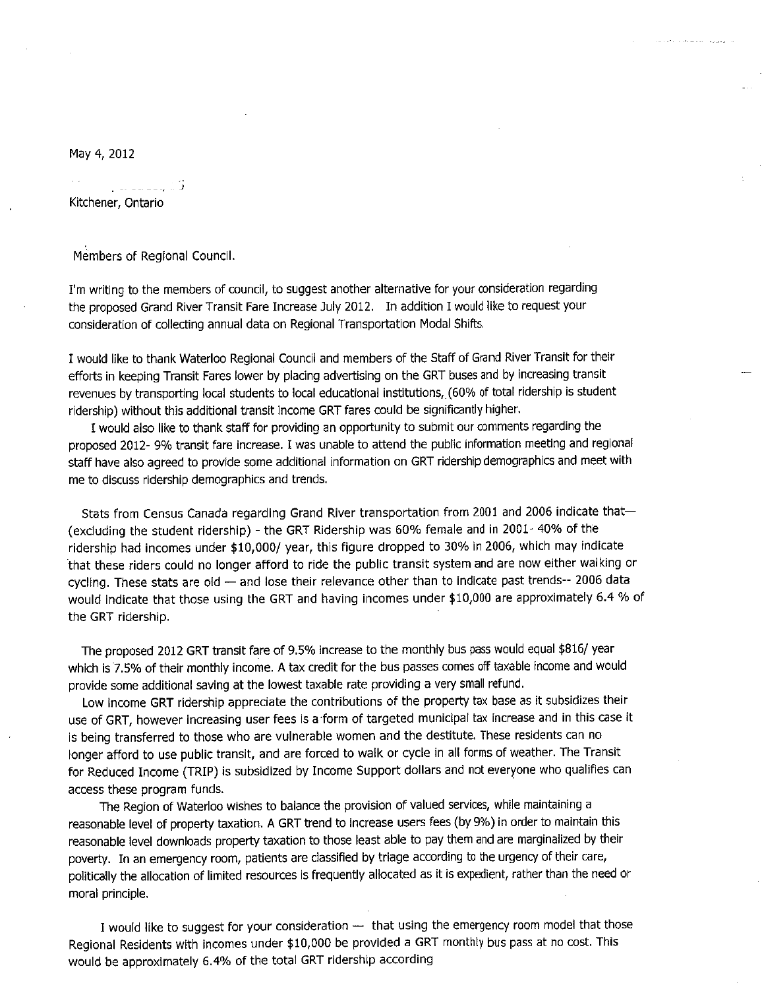May 4, 2012

- 17 Kitchener, Ontario

Members of Regional Council.

I'm writing to the members of council, to suggest another alternative for your consideration regarding the proposed Grand River Transit Fare Increase July 2012. In addition I would like to request your consideration of collecting annual data on Regional Transportation Modal Shifts.

المتورين المتحف لقدام المحداسة

I would like to thank Waterloo Regional Council and members of the Staff of Grand River Transit for their efforts in keeping Transit Fares lower by placing advertising on the GRT buses and by increasing transit revenues by transporting local students to local educational institutions, (60% of total ridership is student ridership) without this additional transit income GRT fares could be significantly higher.

I would also like to thank staff for providing an opportunity to submit our comments regarding the proposed 2012- 9% transit fare increase. I was unable to attend the public information meeting and regional staff have also agreed to provide some additional information on GRT ridership demographics and meet with me to discuss ridership demographics and trends.

Stats from Census Canada regarding Grand River transportation from 2001 and 2006 indicate that-(excluding the student ridership) - the GRT Ridership was 60% female and in 2001- 40% of the ridership had incomes under \$10,000/ year, this figure dropped to 30% in 2006, which may indicate that these riders could no longer afford to ride the public transit system and are now either walking or cycling. These stats are old - and lose their relevance other than to indicate past trends-- 2006 data would indicate that those using the GRT and having incomes under \$10,000 are approximately 6.4 % of the GRT ridership.

The proposed 2012 GRT transit fare of 9.5% increase to the monthly bus pass would equal \$816/ year which is 7.5% of their monthly income. A tax credit for the bus passes comes off taxable income and would provide some additional saving at the lowest taxable rate providing a very small refund.

Low income GRT ridership appreciate the contributions of the property tax base as it subsidizes their use of GRT, however increasing user fees is a form of targeted municipal tax increase and in this case it is being transferred to those who are vulnerable women and the destitute. These residents can no longer afford to use public transit, and are forced to walk or cycle in all forms of weather. The Transit for Reduced Income (TRIP) is subsidized by Income Support dollars and not everyone who qualifies can access these program funds.

The Region of Waterloo wishes to balance the provision of valued services, while maintaining a reasonable level of property taxation. A GRT trend to increase users fees (by 9%) in order to maintain this reasonable level downloads property taxation to those least able to pay them and are marginalized by their poverty. In an emergency room, patients are classified by triage according to the urgency of their care, politically the allocation of limited resources is frequently allocated as it is expedient, rather than the need or moral principle.

I would like to suggest for your consideration - that using the emergency room model that those Regional Residents with incomes under \$10,000 be provided a GRT monthly bus pass at no cost. This would be approximately 6.4% of the total GRT ridership according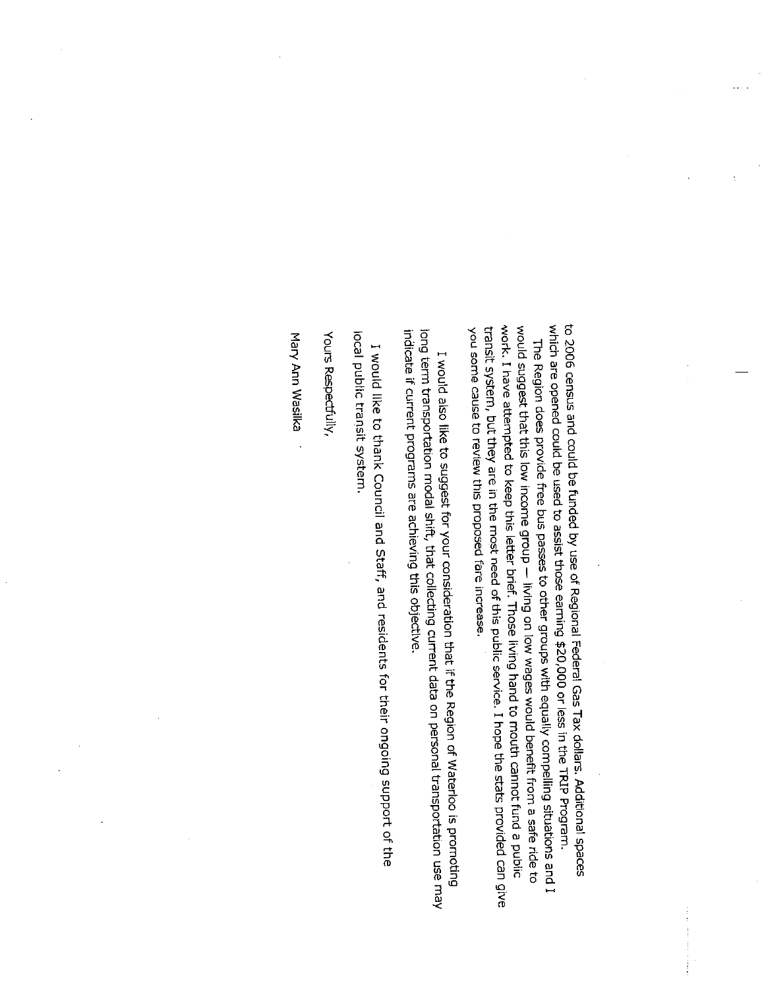which are opened could be used to assist those earning \$20,000 or less in the TRIP Program. to 2006 census and could be funded by use of Regional Federal Gas Tax dollars. Additional spaces work. I have attempted to keep this letter brief. Those living hand to mouth cannot fund a public would suggest that this low income group - living on low wages would benefit from a safe ride to transit system, but they are in the most need of this public service. I hope the stats provided can give you some cause to review this proposed fare increase. The Region does provide free bus passes to other groups with equally compelling situations and I

long term transportation modal shift, that collecting current data on personal transportation use may indicate if current programs are achieving this objective. I would also like to suggest for your consideration that if the Region of Waterloo is promoting

local public transit system. I would like to thank Council and Staff, and residents for their ongoing support of the

Yours Respectfully,

Mary Ann Wasilka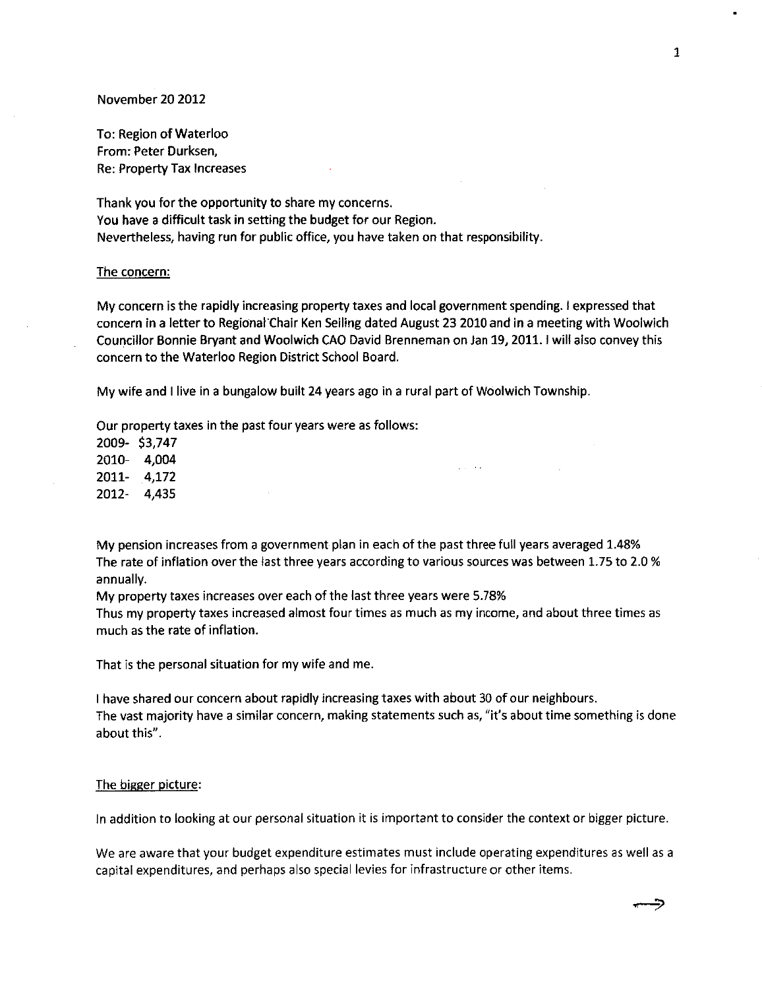#### November 20 2012

To: Region of Waterloo From: Peter Durksen, Re: Property Tax Increases

Thank you for the opportunity to share my concerns. You have a difficult task in setting the budget for our Region. Nevertheless, having run for public office, you have taken on that responsibility.

#### The concern:

My concern is the rapidly increasing property taxes and local government spending. I expressed that concern in a letter to Regional Chair Ken Seiling dated August 23 2010 and in a meeting with Woolwich Councillor Bonnie Bryant and Woolwich CAO David Brenneman on Jan 19, 2011. I will also convey this concern to the Waterloo Region District School Board.

My wife and I live in a bungalow built 24 years ago in a rural part of Woolwich Township.

Our property taxes in the past four years were as follows:

2009-\$3,747 2010-4,004 2011- 4,172 2012 4,435

My pension increases from a government plan in each of the past three full years averaged 1.48% The rate of inflation over the last three years according to various sources was between 1.75 to 2.0 % annually.

 $\omega$  and  $\omega$  and

My property taxes increases over each of the last three years were 5.78%

Thus my property taxes increased almost four times as much as my income, and about three times as much as the rate of inflation.

That is the personal situation for my wife and me.

I have shared our concern about rapidly increasing taxes with about 30 of our neighbours. The vast majority have a similar concern, making statements such as, "it's about time something is done about this".

#### The bigger picture:

In addition to looking at our personal situation it is important to consider the context or bigger picture.

We are aware that your budget expenditure estimates must include operating expenditures as well as a capital expenditures, and perhaps also special levies for infrastructure or other items.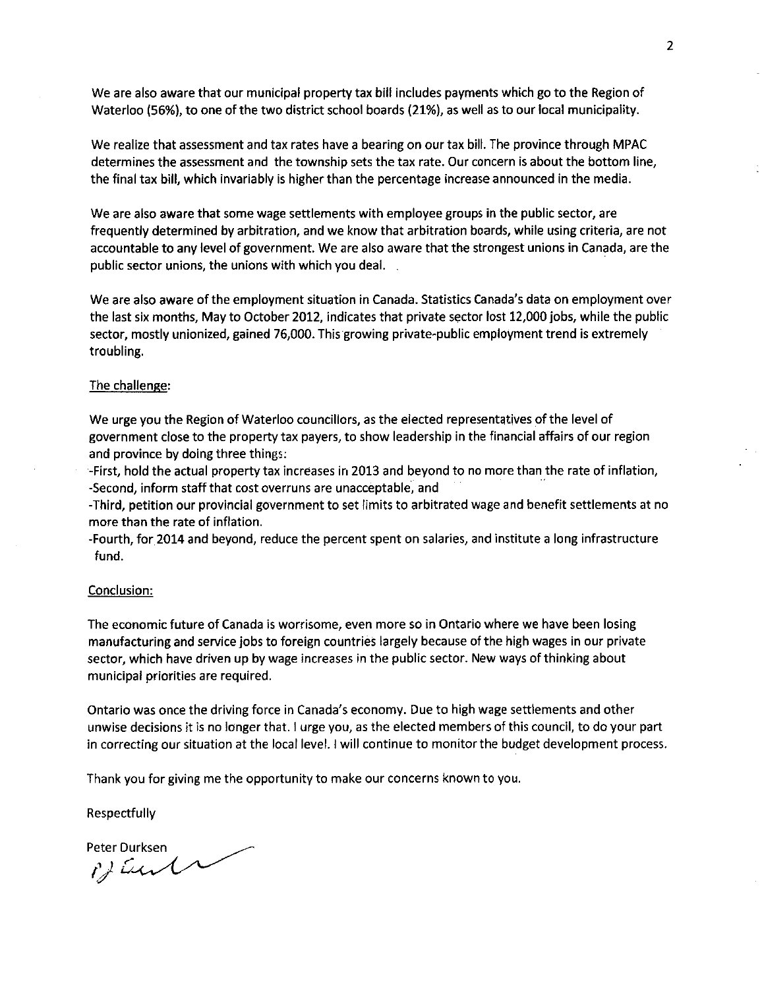We are also aware that our municipal property tax bill includes payments which go to the Region of Waterloo (56%), to one of the two district school boards (21%), as well as to our local municipality.

We realize that assessment and tax rates have a bearing on our tax bill. The province through MPAC determines the assessment and the township sets the tax rate. Our concern is about the bottom line, the final tax bill, which invariably is higher than the percentage increase announced in the media.

We are also aware that some wage settlements with employee groups in the public sector, are frequently determined by arbitration, and we know that arbitration boards, while using criteria, are not accountable to any level of government. We are also aware that the strongest unions in Canada, are the public sector unions, the unions with which you deal.

We are also aware of the employment situation in Canada. Statistics Canada's data on employment over the last six months, May to October 2012, indicates that private sector lost 12,000 jobs, while the public sector, mostly unionized, gained 76,000. This growing private-public employment trend is extremely troubling.

#### The challenge:

We urge you the Region of Waterloo councillors, as the elected representatives of the level of government close to the property tax payers, to show leadership in the financial affairs of our region and province by doing three things:

-First, hold the actual property tax increases in 2013 and beyond to no more than the rate of inflation, -Second, inform staff that cost overruns are unacceptable, and

-Third, petition our provincial government to set limits to arbitrated wage and benefit settlements at no more than the rate of inflation.

-Fourth, for 2014 and beyond, reduce the percent spent on salaries, and institute a long infrastructure fund.

#### Conclusion:

The economic future of Canada is worrisome, even more so in Ontario where we have been losing manufacturing and service jobs to foreign countries largely because of the high wages in our private sector, which have driven up by wage increases in the public sector. New ways of thinking about municipal priorities are required.

Ontario was once the driving force in Canada's economy. Due to high wage settlements and other unwise decisions it is no longer that. I urge you, as the elected members of this council, to do your part in correcting our situation at the local level. I will continue to monitor the budget development process.

Thank you for giving me the opportunity to make our concerns known to you.

Respectfully

Peter Durksen Bent

 $\overline{2}$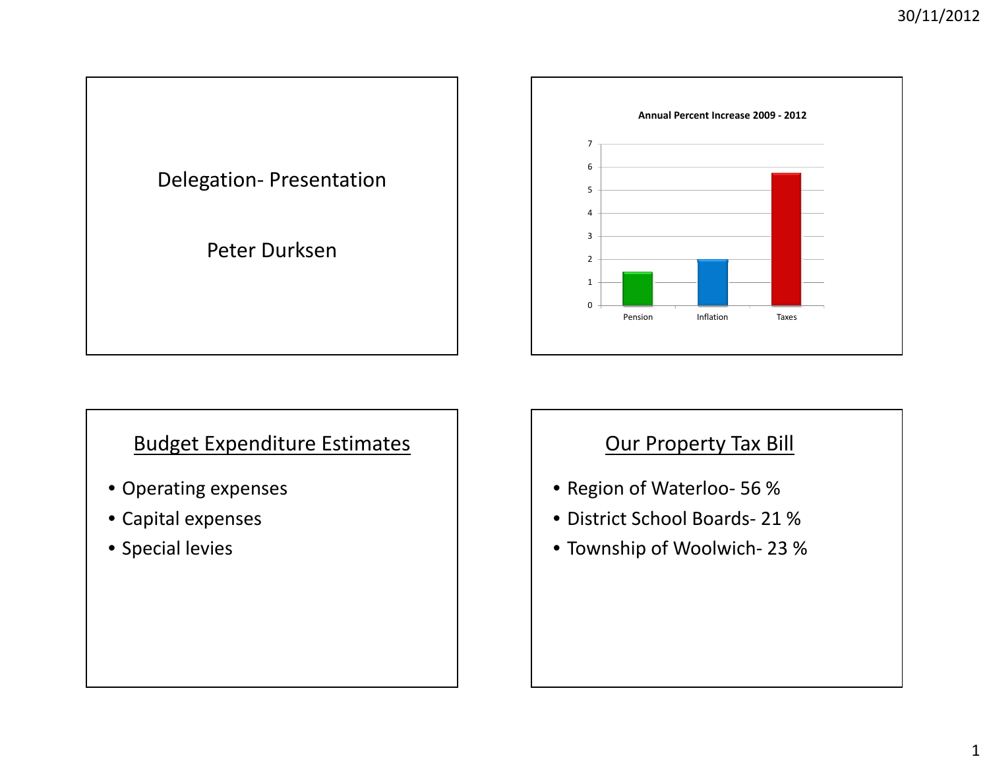



## Budget Expenditure Estimates

- Operating expenses
- Capital expenses
- Special levies

## Our Property Tax Bill

- Region of Waterloo‐ 56 %
- District School Boards‐ 21 %
- Township of Woolwich‐ 23 %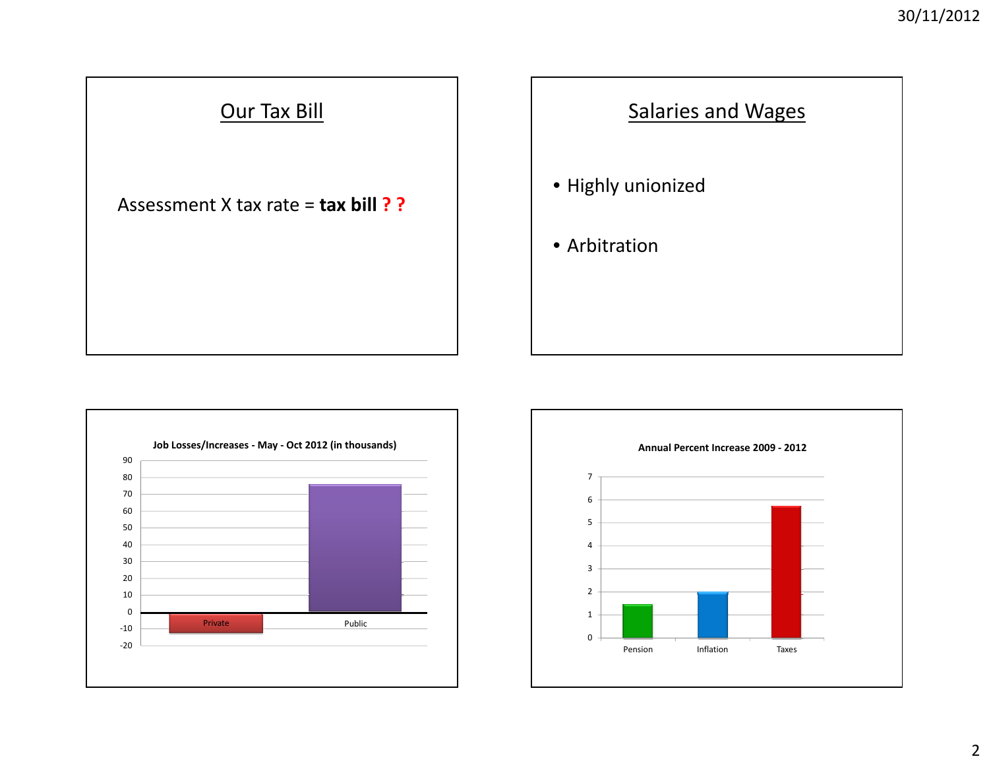





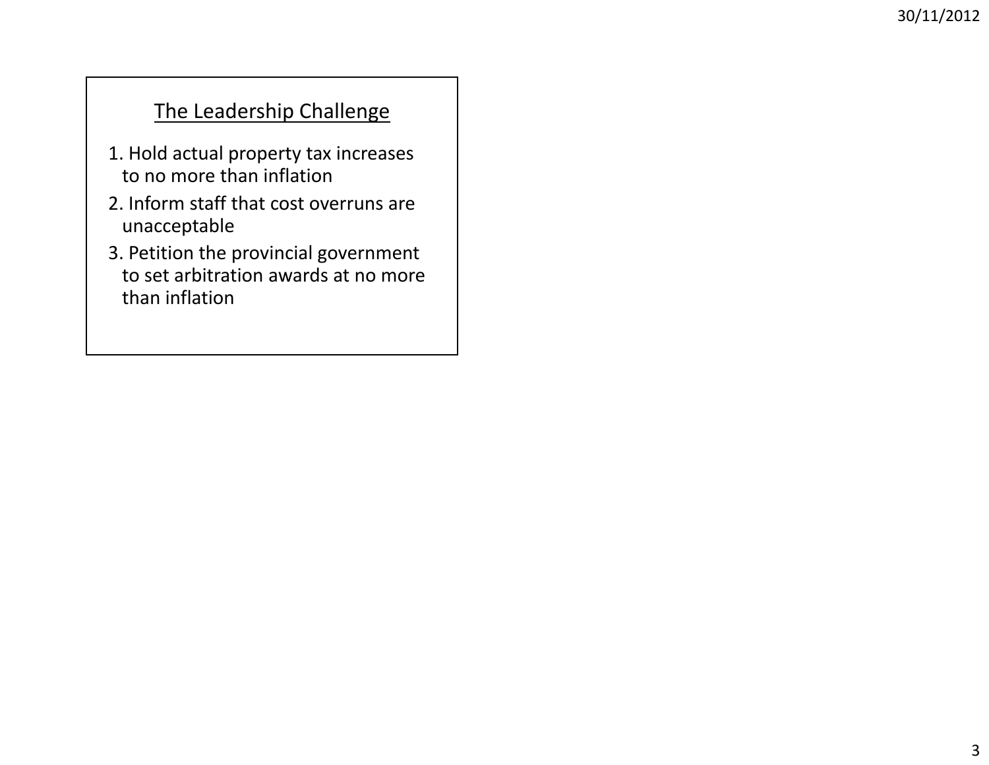## The Leadership Challenge

- 1. Hold actual property tax increases to no more than inflation
- 2. Inform staff that cost overruns are unacceptable
- 3. Petition the provincial government to set arbitration awards at no more than inflation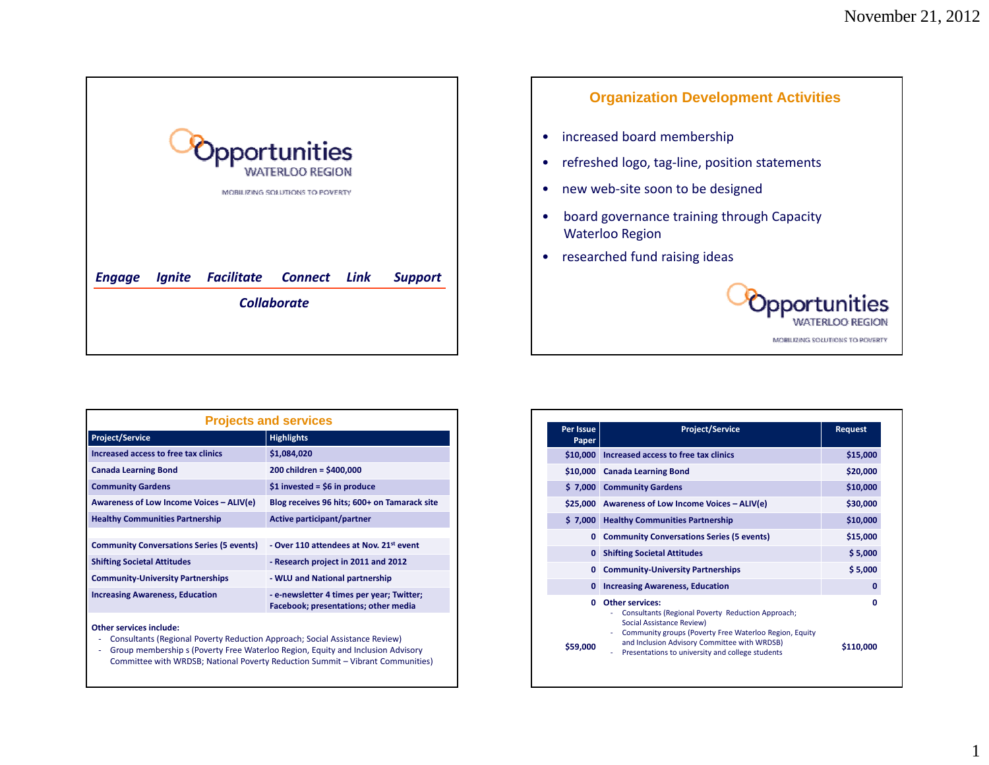1

<span id="page-11-0"></span>

| Opportunities<br><b>WATERLOO REGION</b><br><b>MOBILIZING SOLUTIONS TO POVERTY</b> |  |                                       |                    |  |                |  |  |
|-----------------------------------------------------------------------------------|--|---------------------------------------|--------------------|--|----------------|--|--|
| <b>Engage</b>                                                                     |  | <b>Ignite Facilitate Connect Link</b> |                    |  | <b>Support</b> |  |  |
|                                                                                   |  |                                       | <b>Collaborate</b> |  |                |  |  |

| <b>Organization Development Activities</b>                           |
|----------------------------------------------------------------------|
| increased board membership                                           |
| refreshed logo, tag-line, position statements                        |
| new web-site soon to be designed                                     |
| board governance training through Capacity<br><b>Waterloo Region</b> |
| researched fund raising ideas                                        |
| portunities<br><b>FRI OO REGION</b><br>MOBILIZING SOLUTIONS TO POVE  |
|                                                                      |

г

| <b>Projects and services</b>                     |                                                                                   |  |  |  |
|--------------------------------------------------|-----------------------------------------------------------------------------------|--|--|--|
| <b>Project/Service</b>                           | <b>Highlights</b>                                                                 |  |  |  |
| Increased access to free tax clinics             | \$1,084,020                                                                       |  |  |  |
| <b>Canada Learning Bond</b>                      | 200 children = \$400,000                                                          |  |  |  |
| <b>Community Gardens</b>                         | $$1$ invested = \$6 in produce                                                    |  |  |  |
| Awareness of Low Income Voices – ALIV(e)         | Blog receives 96 hits; 600+ on Tamarack site                                      |  |  |  |
| <b>Healthy Communities Partnership</b>           | Active participant/partner                                                        |  |  |  |
|                                                  |                                                                                   |  |  |  |
| <b>Community Conversations Series (5 events)</b> | - Over 110 attendees at Nov. 21st event                                           |  |  |  |
| <b>Shifting Societal Attitudes</b>               | - Research project in 2011 and 2012                                               |  |  |  |
| <b>Community-University Partnerships</b>         | - WLU and National partnership                                                    |  |  |  |
| <b>Increasing Awareness, Education</b>           | - e-newsletter 4 times per year; Twitter;<br>Facebook; presentations; other media |  |  |  |
| <b>Other services include:</b>                   |                                                                                   |  |  |  |

- ‐ Consultants (Regional Poverty Reduction Approach; Social Assistance Review)
- ‐ Group membership <sup>s</sup> (Poverty Free Waterloo Region, Equity and Inclusion Advisory Committee with WRDSB; National Poverty Reduction Summit – Vibrant Communities)

| Per Issue<br>Paper | <b>Project/Service</b>                                                                                                                                     | <b>Request</b> |
|--------------------|------------------------------------------------------------------------------------------------------------------------------------------------------------|----------------|
| \$10,000           | Increased access to free tax clinics                                                                                                                       | \$15,000       |
| \$10,000           | <b>Canada Learning Bond</b>                                                                                                                                | \$20,000       |
| \$7,000            | <b>Community Gardens</b>                                                                                                                                   | \$10,000       |
|                    | \$25,000 Awareness of Low Income Voices - ALIV(e)                                                                                                          | \$30,000       |
| \$7,000            | <b>Healthy Communities Partnership</b>                                                                                                                     | \$10,000       |
| 0                  | <b>Community Conversations Series (5 events)</b>                                                                                                           | \$15,000       |
| 0                  | <b>Shifting Societal Attitudes</b>                                                                                                                         | \$5,000        |
| 0                  | <b>Community-University Partnerships</b>                                                                                                                   | \$5,000        |
| $\mathbf{0}$       | <b>Increasing Awareness, Education</b>                                                                                                                     | 0              |
| O                  | <b>Other services:</b><br>Consultants (Regional Poverty Reduction Approach;<br>Social Assistance Review)                                                   | 0              |
| \$59,000           | Community groups (Poverty Free Waterloo Region, Equity<br>and Inclusion Advisory Committee with WRDSB)<br>Presentations to university and college students | \$110,000      |